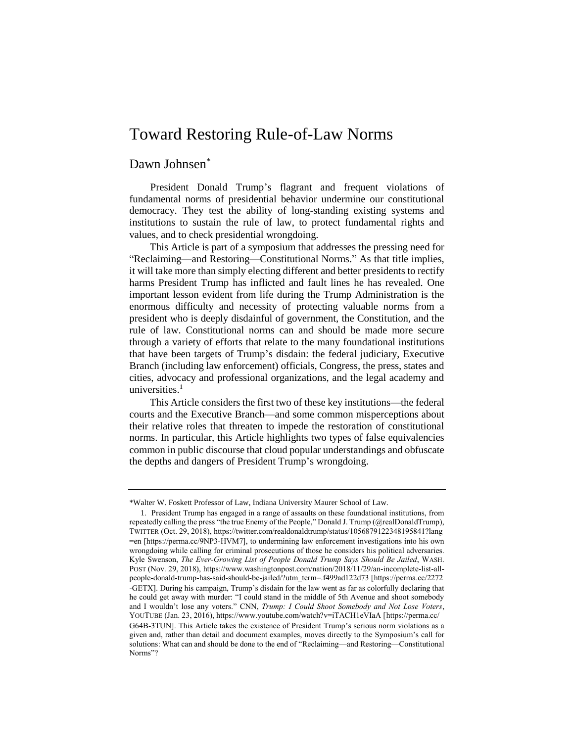## Toward Restoring Rule-of-Law Norms

## Dawn Johnsen<sup>\*</sup>

President Donald Trump's flagrant and frequent violations of fundamental norms of presidential behavior undermine our constitutional democracy. They test the ability of long-standing existing systems and institutions to sustain the rule of law, to protect fundamental rights and values, and to check presidential wrongdoing.

This Article is part of a symposium that addresses the pressing need for "Reclaiming—and Restoring—Constitutional Norms." As that title implies, it will take more than simply electing different and better presidents to rectify harms President Trump has inflicted and fault lines he has revealed. One important lesson evident from life during the Trump Administration is the enormous difficulty and necessity of protecting valuable norms from a president who is deeply disdainful of government, the Constitution, and the rule of law. Constitutional norms can and should be made more secure through a variety of efforts that relate to the many foundational institutions that have been targets of Trump's disdain: the federal judiciary, Executive Branch (including law enforcement) officials, Congress, the press, states and cities, advocacy and professional organizations, and the legal academy and universities. $1$ 

This Article considers the first two of these key institutions—the federal courts and the Executive Branch—and some common misperceptions about their relative roles that threaten to impede the restoration of constitutional norms. In particular, this Article highlights two types of false equivalencies common in public discourse that cloud popular understandings and obfuscate the depths and dangers of President Trump's wrongdoing.

<sup>\*</sup>Walter W. Foskett Professor of Law, Indiana University Maurer School of Law.

<sup>1</sup>. President Trump has engaged in a range of assaults on these foundational institutions, from repeatedly calling the press "the true Enemy of the People," Donald J. Trump (@realDonaldTrump), TWITTER (Oct. 29, 2018), https://twitter.com/realdonaldtrump/status/1056879122348195841?lang =en [https://perma.cc/9NP3-HVM7], to undermining law enforcement investigations into his own wrongdoing while calling for criminal prosecutions of those he considers his political adversaries. Kyle Swenson, *The Ever-Growing List of People Donald Trump Says Should Be Jailed*, WASH. POST (Nov. 29, 2018)[, https://www.washingtonpost.com/](https://www.washingtonpost.com/)nation/2018/11/29/an-incomplete-list-allpeople-donald-trump-has-said-should-be-jailed/?utm\_term=.f499ad122d73 [https://perma.cc/2272 -GETX]. During his campaign, Trump's disdain for the law went as far as colorfully declaring that he could get away with murder: "I could stand in the middle of 5th Avenue and shoot somebody and I wouldn't lose any voters." CNN, *Trump: I Could Shoot Somebody and Not Lose Voters*, YOUTUBE (Jan. 23, 2016), https://www.youtube.com/watch?v=iTACH1eVIaA [https://perma.cc/ G64B-3TUN]. This Article takes the existence of President Trump's serious norm violations as a given and, rather than detail and document examples, moves directly to the Symposium's call for solutions: What can and should be done to the end of "Reclaiming—and Restoring—Constitutional Norms"?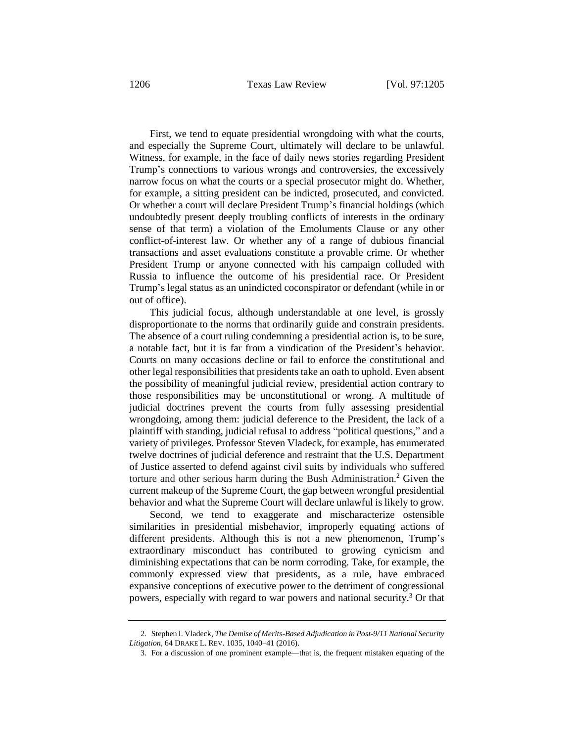First, we tend to equate presidential wrongdoing with what the courts, and especially the Supreme Court, ultimately will declare to be unlawful. Witness, for example, in the face of daily news stories regarding President Trump's connections to various wrongs and controversies, the excessively narrow focus on what the courts or a special prosecutor might do. Whether, for example, a sitting president can be indicted, prosecuted, and convicted. Or whether a court will declare President Trump's financial holdings (which undoubtedly present deeply troubling conflicts of interests in the ordinary sense of that term) a violation of the Emoluments Clause or any other conflict-of-interest law. Or whether any of a range of dubious financial transactions and asset evaluations constitute a provable crime. Or whether President Trump or anyone connected with his campaign colluded with Russia to influence the outcome of his presidential race. Or President Trump's legal status as an unindicted coconspirator or defendant (while in or out of office).

This judicial focus, although understandable at one level, is grossly disproportionate to the norms that ordinarily guide and constrain presidents. The absence of a court ruling condemning a presidential action is, to be sure, a notable fact, but it is far from a vindication of the President's behavior. Courts on many occasions decline or fail to enforce the constitutional and other legal responsibilities that presidents take an oath to uphold. Even absent the possibility of meaningful judicial review, presidential action contrary to those responsibilities may be unconstitutional or wrong. A multitude of judicial doctrines prevent the courts from fully assessing presidential wrongdoing, among them: judicial deference to the President, the lack of a plaintiff with standing, judicial refusal to address "political questions," and a variety of privileges. Professor Steven Vladeck, for example, has enumerated twelve doctrines of judicial deference and restraint that the U.S. Department of Justice asserted to defend against civil suits by individuals who suffered torture and other serious harm during the Bush Administration.<sup>2</sup> Given the current makeup of the Supreme Court, the gap between wrongful presidential behavior and what the Supreme Court will declare unlawful is likely to grow.

Second, we tend to exaggerate and mischaracterize ostensible similarities in presidential misbehavior, improperly equating actions of different presidents. Although this is not a new phenomenon, Trump's extraordinary misconduct has contributed to growing cynicism and diminishing expectations that can be norm corroding. Take, for example, the commonly expressed view that presidents, as a rule, have embraced expansive conceptions of executive power to the detriment of congressional powers, especially with regard to war powers and national security. <sup>3</sup> Or that

<sup>2.</sup> Stephen I. Vladeck, *The Demise of Merits-Based Adjudication in Post-9/11 National Security Litigation*, 64 DRAKE L. REV. 1035, 1040–41 (2016).

<sup>3.</sup> For a discussion of one prominent example—that is, the frequent mistaken equating of the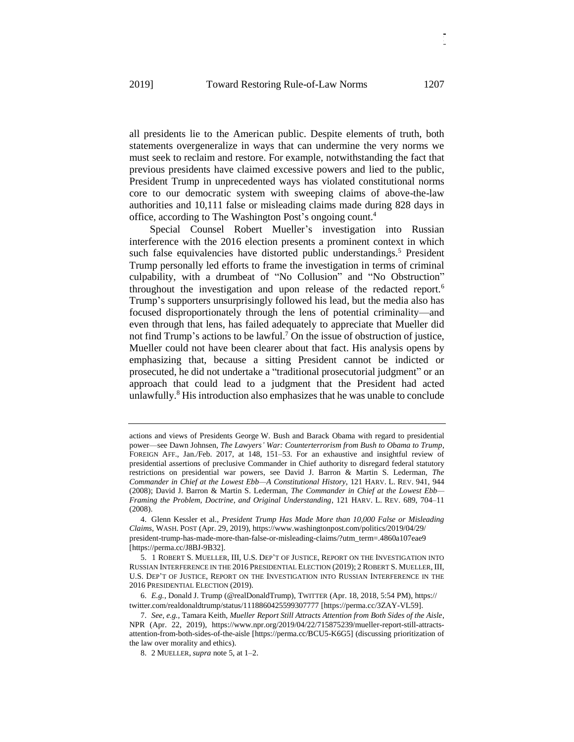all presidents lie to the American public. Despite elements of truth, both statements overgeneralize in ways that can undermine the very norms we must seek to reclaim and restore. For example, notwithstanding the fact that previous presidents have claimed excessive powers and lied to the public, President Trump in unprecedented ways has violated constitutional norms core to our democratic system with sweeping claims of above-the-law authorities and 10,111 false or misleading claims made during 828 days in office, according to The Washington Post's ongoing count. 4

Special Counsel Robert Mueller's investigation into Russian interference with the 2016 election presents a prominent context in which such false equivalencies have distorted public understandings.<sup>5</sup> President Trump personally led efforts to frame the investigation in terms of criminal culpability, with a drumbeat of "No Collusion" and "No Obstruction" throughout the investigation and upon release of the redacted report.<sup>6</sup> Trump's supporters unsurprisingly followed his lead, but the media also has focused disproportionately through the lens of potential criminality—and even through that lens, has failed adequately to appreciate that Mueller did not find Trump's actions to be lawful.<sup>7</sup> On the issue of obstruction of justice, Mueller could not have been clearer about that fact. His analysis opens by emphasizing that, because a sitting President cannot be indicted or prosecuted, he did not undertake a "traditional prosecutorial judgment" or an approach that could lead to a judgment that the President had acted unlawfully.<sup>8</sup> His introduction also emphasizes that he was unable to conclude

actions and views of Presidents George W. Bush and Barack Obama with regard to presidential power—see Dawn Johnsen, *The Lawyers' War: Counterterrorism from Bush to Obama to Trump*, FOREIGN AFF., Jan./Feb. 2017, at 148, 151–53. For an exhaustive and insightful review of presidential assertions of preclusive Commander in Chief authority to disregard federal statutory restrictions on presidential war powers, see David J. Barron & Martin S. Lederman, *The Commander in Chief at the Lowest Ebb—A Constitutional History*, 121 HARV. L. REV. 941, 944 (2008); David J. Barron & Martin S. Lederman, *The Commander in Chief at the Lowest Ebb— Framing the Problem, Doctrine, and Original Understanding*, 121 HARV. L. REV. 689, 704–11 (2008).

<sup>4.</sup> Glenn Kessler et al., *President Trump Has Made More than 10,000 False or Misleading Claims*, WASH. POST (Apr. 29, 2019), https://www.washingtonpost.com/politics/2019/04/29/ president-trump-has-made-more-than-false-or-misleading-claims/?utm\_term=.4860a107eae9 [https://perma.cc/J8BJ-9B32].

<sup>5.</sup> 1 ROBERT S. MUELLER, III, U.S. DEP'T OF JUSTICE, REPORT ON THE INVESTIGATION INTO RUSSIAN INTERFERENCE IN THE 2016 PRESIDENTIAL ELECTION (2019); 2 ROBERT S. MUELLER, III, U.S. DEP'T OF JUSTICE, REPORT ON THE INVESTIGATION INTO RUSSIAN INTERFERENCE IN THE 2016 PRESIDENTIAL ELECTION (2019).

<sup>6.</sup> *E.g.*, Donald J. Trump (@realDonaldTrump), TWITTER (Apr. 18, 2018, 5:54 PM), https:// twitter.com/realdonaldtrump/status/1118860425599307777 [https://perma.cc/3ZAY-VL59].

<sup>7.</sup> *See, e.g.*, Tamara Keith, *Mueller Report Still Attracts Attention from Both Sides of the Aisle*, NPR (Apr. 22, 2019), https://www.npr.org/2019/04/22/715875239/mueller-report-still-attractsattention-from-both-sides-of-the-aisle [https://perma.cc/BCU5-K6G5] (discussing prioritization of the law over morality and ethics).

<sup>8.</sup> 2 MUELLER, *supra* note 5, at 1–2.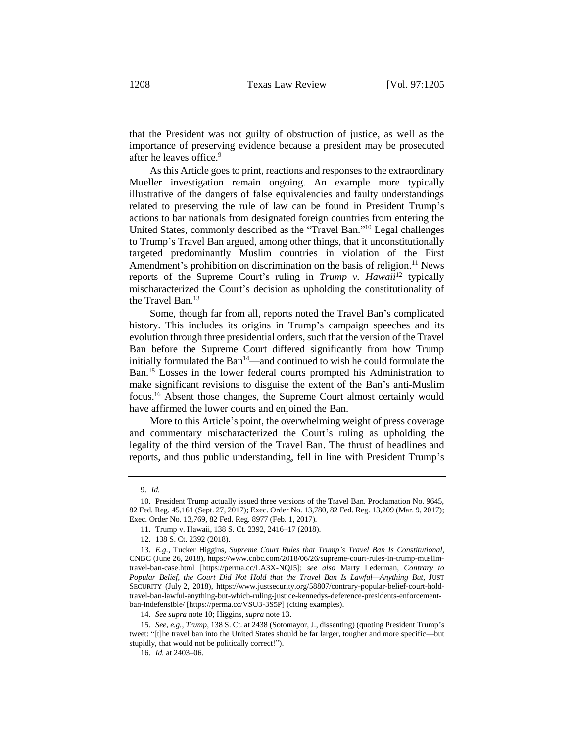that the President was not guilty of obstruction of justice, as well as the importance of preserving evidence because a president may be prosecuted after he leaves office.<sup>9</sup>

As this Article goes to print, reactions and responses to the extraordinary Mueller investigation remain ongoing. An example more typically illustrative of the dangers of false equivalencies and faulty understandings related to preserving the rule of law can be found in President Trump's actions to bar nationals from designated foreign countries from entering the United States, commonly described as the "Travel Ban."<sup>10</sup> Legal challenges to Trump's Travel Ban argued, among other things, that it unconstitutionally targeted predominantly Muslim countries in violation of the First Amendment's prohibition on discrimination on the basis of religion.<sup>11</sup> News reports of the Supreme Court's ruling in *Trump v. Hawaii*<sup>12</sup> typically mischaracterized the Court's decision as upholding the constitutionality of the Travel Ban.<sup>13</sup>

Some, though far from all, reports noted the Travel Ban's complicated history. This includes its origins in Trump's campaign speeches and its evolution through three presidential orders, such that the version of the Travel Ban before the Supreme Court differed significantly from how Trump initially formulated the Ban<sup>14</sup>—and continued to wish he could formulate the Ban.<sup>15</sup> Losses in the lower federal courts prompted his Administration to make significant revisions to disguise the extent of the Ban's anti-Muslim focus.<sup>16</sup> Absent those changes, the Supreme Court almost certainly would have affirmed the lower courts and enjoined the Ban.

More to this Article's point, the overwhelming weight of press coverage and commentary mischaracterized the Court's ruling as upholding the legality of the third version of the Travel Ban. The thrust of headlines and reports, and thus public understanding, fell in line with President Trump's

16. *Id.* at 2403–06.

<sup>9.</sup> *Id.*

<sup>10.</sup> President Trump actually issued three versions of the Travel Ban. Proclamation No. 9645, 82 Fed. Reg. 45,161 (Sept. 27, 2017); Exec. Order No. 13,780, 82 Fed. Reg. 13,209 (Mar. 9, 2017); Exec. Order No. 13,769, 82 Fed. Reg. 8977 (Feb. 1, 2017).

<sup>11.</sup> Trump v. Hawaii, 138 S. Ct. 2392, 2416–17 (2018).

<sup>12.</sup> 138 S. Ct. 2392 (2018).

<sup>13.</sup> *E.g.*, Tucker Higgins, *Supreme Court Rules that Trump's Travel Ban Is Constitutional*, CNBC (June 26, 2018), https://www.cnbc.com/2018/06/26/supreme-court-rules-in-trump-muslimtravel-ban-case.html [https://perma.cc/LA3X-NQJ5]; *see also* Marty Lederman, *Contrary to Popular Belief, the Court Did Not Hold that the Travel Ban Is Lawful—Anything But*, JUST SECURITY (July 2, 2018), https://www.justsecurity.org/58807/contrary-popular-belief-court-holdtravel-ban-lawful-anything-but-which-ruling-justice-kennedys-deference-presidents-enforcementban-indefensible/ [https://perma.cc/VSU3-3S5P] (citing examples).

<sup>14.</sup> *See supra* note 10; Higgins, *supra* note 13.

<sup>15.</sup> *See, e.g.*, *Trump*, 138 S. Ct. at 2438 (Sotomayor, J., dissenting) (quoting President Trump's tweet: "[t]he travel ban into the United States should be far larger, tougher and more specific—but stupidly, that would not be politically correct!").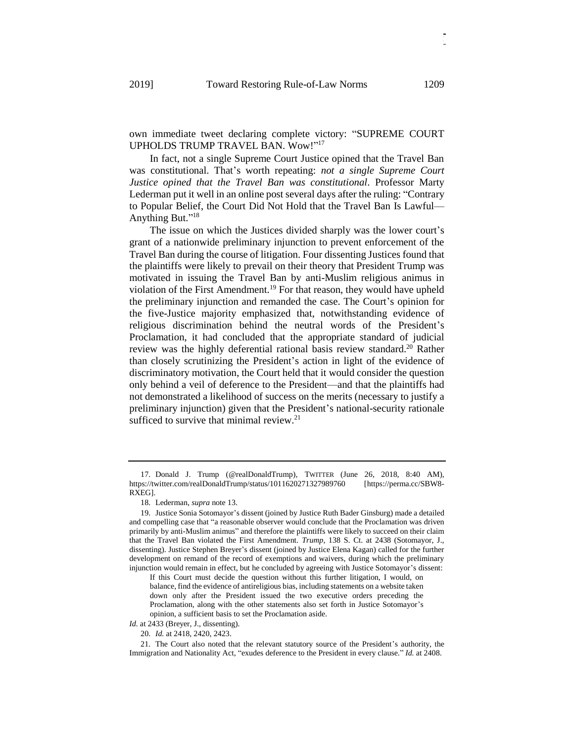own immediate tweet declaring complete victory: "SUPREME COURT UPHOLDS TRUMP TRAVEL BAN. Wow!" 17

In fact, not a single Supreme Court Justice opined that the Travel Ban was constitutional. That's worth repeating: *not a single Supreme Court Justice opined that the Travel Ban was constitutional*. Professor Marty Lederman put it well in an online post several days after the ruling: "Contrary to Popular Belief, the Court Did Not Hold that the Travel Ban Is Lawful— Anything But."<sup>18</sup>

The issue on which the Justices divided sharply was the lower court's grant of a nationwide preliminary injunction to prevent enforcement of the Travel Ban during the course of litigation. Four dissenting Justices found that the plaintiffs were likely to prevail on their theory that President Trump was motivated in issuing the Travel Ban by anti-Muslim religious animus in violation of the First Amendment.<sup>19</sup> For that reason, they would have upheld the preliminary injunction and remanded the case. The Court's opinion for the five-Justice majority emphasized that, notwithstanding evidence of religious discrimination behind the neutral words of the President's Proclamation, it had concluded that the appropriate standard of judicial review was the highly deferential rational basis review standard. <sup>20</sup> Rather than closely scrutinizing the President's action in light of the evidence of discriminatory motivation, the Court held that it would consider the question only behind a veil of deference to the President—and that the plaintiffs had not demonstrated a likelihood of success on the merits (necessary to justify a preliminary injunction) given that the President's national-security rationale sufficed to survive that minimal review. $21$ 

*Id.* at 2433 (Breyer, J., dissenting).

<sup>17.</sup> Donald J. Trump (@realDonaldTrump), TWITTER (June 26, 2018, 8:40 AM), https://twitter.com/realDonaldTrump/status/1011620271327989760 [https://perma.cc/SBW8- RXEG].

<sup>18.</sup> Lederman, *supra* note 13.

<sup>19.</sup> Justice Sonia Sotomayor's dissent (joined by Justice Ruth Bader Ginsburg) made a detailed and compelling case that "a reasonable observer would conclude that the Proclamation was driven primarily by anti-Muslim animus" and therefore the plaintiffs were likely to succeed on their claim that the Travel Ban violated the First Amendment. *Trump*, 138 S. Ct. at 2438 (Sotomayor, J., dissenting). Justice Stephen Breyer's dissent (joined by Justice Elena Kagan) called for the further development on remand of the record of exemptions and waivers, during which the preliminary injunction would remain in effect, but he concluded by agreeing with Justice Sotomayor's dissent:

If this Court must decide the question without this further litigation, I would, on balance, find the evidence of antireligious bias, including statements on a website taken down only after the President issued the two executive orders preceding the Proclamation, along with the other statements also set forth in Justice Sotomayor's opinion, a sufficient basis to set the Proclamation aside.

<sup>20.</sup> *Id.* at 2418, 2420, 2423.

<sup>21.</sup> The Court also noted that the relevant statutory source of the President's authority, the Immigration and Nationality Act, "exudes deference to the President in every clause." *Id.* at 2408.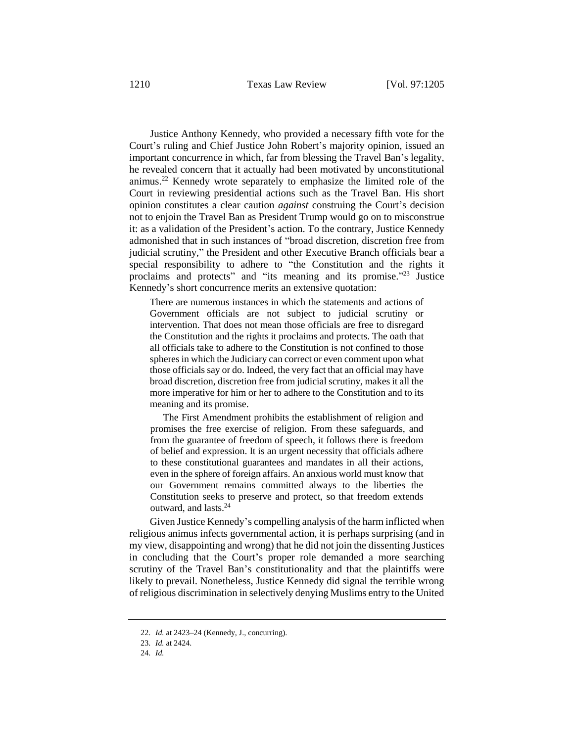Justice Anthony Kennedy, who provided a necessary fifth vote for the Court's ruling and Chief Justice John Robert's majority opinion, issued an important concurrence in which, far from blessing the Travel Ban's legality, he revealed concern that it actually had been motivated by unconstitutional animus.<sup>22</sup> Kennedy wrote separately to emphasize the limited role of the Court in reviewing presidential actions such as the Travel Ban. His short opinion constitutes a clear caution *against* construing the Court's decision not to enjoin the Travel Ban as President Trump would go on to misconstrue it: as a validation of the President's action. To the contrary, Justice Kennedy admonished that in such instances of "broad discretion, discretion free from judicial scrutiny," the President and other Executive Branch officials bear a special responsibility to adhere to "the Constitution and the rights it proclaims and protects" and "its meaning and its promise."<sup>23</sup> Justice Kennedy's short concurrence merits an extensive quotation:

There are numerous instances in which the statements and actions of Government officials are not subject to judicial scrutiny or intervention. That does not mean those officials are free to disregard the Constitution and the rights it proclaims and protects. The oath that all officials take to adhere to the Constitution is not confined to those spheres in which the Judiciary can correct or even comment upon what those officials say or do. Indeed, the very fact that an official may have broad discretion, discretion free from judicial scrutiny, makes it all the more imperative for him or her to adhere to the Constitution and to its meaning and its promise.

The First Amendment prohibits the establishment of religion and promises the free exercise of religion. From these safeguards, and from the guarantee of freedom of speech, it follows there is freedom of belief and expression. It is an urgent necessity that officials adhere to these constitutional guarantees and mandates in all their actions, even in the sphere of foreign affairs. An anxious world must know that our Government remains committed always to the liberties the Constitution seeks to preserve and protect, so that freedom extends outward, and lasts.<sup>24</sup>

Given Justice Kennedy's compelling analysis of the harm inflicted when religious animus infects governmental action, it is perhaps surprising (and in my view, disappointing and wrong) that he did not join the dissenting Justices in concluding that the Court's proper role demanded a more searching scrutiny of the Travel Ban's constitutionality and that the plaintiffs were likely to prevail. Nonetheless, Justice Kennedy did signal the terrible wrong of religious discrimination in selectively denying Muslims entry to the United

<sup>22.</sup> *Id.* at 2423–24 (Kennedy, J., concurring).

<sup>23.</sup> *Id.* at 2424.

<sup>24.</sup> *Id.*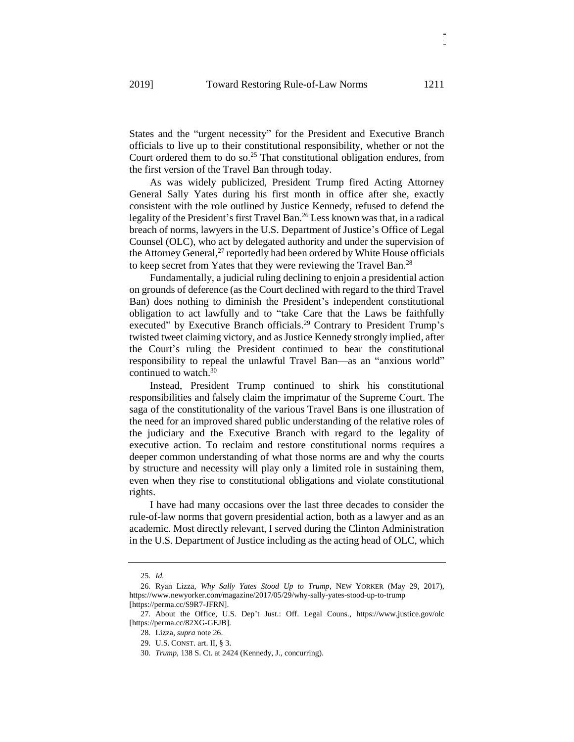States and the "urgent necessity" for the President and Executive Branch officials to live up to their constitutional responsibility, whether or not the Court ordered them to do so.<sup>25</sup> That constitutional obligation endures, from the first version of the Travel Ban through today.

As was widely publicized, President Trump fired Acting Attorney General Sally Yates during his first month in office after she, exactly consistent with the role outlined by Justice Kennedy, refused to defend the legality of the President's first Travel Ban.<sup>26</sup> Less known was that, in a radical breach of norms, lawyers in the U.S. Department of Justice's Office of Legal Counsel (OLC), who act by delegated authority and under the supervision of the Attorney General, $^{27}$  reportedly had been ordered by White House officials to keep secret from Yates that they were reviewing the Travel Ban.<sup>28</sup>

Fundamentally, a judicial ruling declining to enjoin a presidential action on grounds of deference (as the Court declined with regard to the third Travel Ban) does nothing to diminish the President's independent constitutional obligation to act lawfully and to "take Care that the Laws be faithfully executed" by Executive Branch officials.<sup>29</sup> Contrary to President Trump's twisted tweet claiming victory, and as Justice Kennedy strongly implied, after the Court's ruling the President continued to bear the constitutional responsibility to repeal the unlawful Travel Ban—as an "anxious world" continued to watch. 30

Instead, President Trump continued to shirk his constitutional responsibilities and falsely claim the imprimatur of the Supreme Court. The saga of the constitutionality of the various Travel Bans is one illustration of the need for an improved shared public understanding of the relative roles of the judiciary and the Executive Branch with regard to the legality of executive action. To reclaim and restore constitutional norms requires a deeper common understanding of what those norms are and why the courts by structure and necessity will play only a limited role in sustaining them, even when they rise to constitutional obligations and violate constitutional rights.

I have had many occasions over the last three decades to consider the rule-of-law norms that govern presidential action, both as a lawyer and as an academic. Most directly relevant, I served during the Clinton Administration in the U.S. Department of Justice including as the acting head of OLC, which

<sup>25.</sup> *Id.*

<sup>26.</sup> Ryan Lizza, *Why Sally Yates Stood Up to Trump*, NEW YORKER (May 29, 2017), https://www.newyorker.com/magazine/2017/05/29/why-sally-yates-stood-up-to-trump [https://perma.cc/S9R7-JFRN].

<sup>27.</sup> About the Office, U.S. Dep't Just.: Off. Legal Couns., https://www.justice.gov/olc [https://perma.cc/82XG-GEJB].

<sup>28.</sup> Lizza, *supra* note 26.

<sup>29.</sup> U.S. CONST. art. II, § 3.

<sup>30</sup>*. Trump*, 138 S. Ct. at 2424 (Kennedy, J., concurring).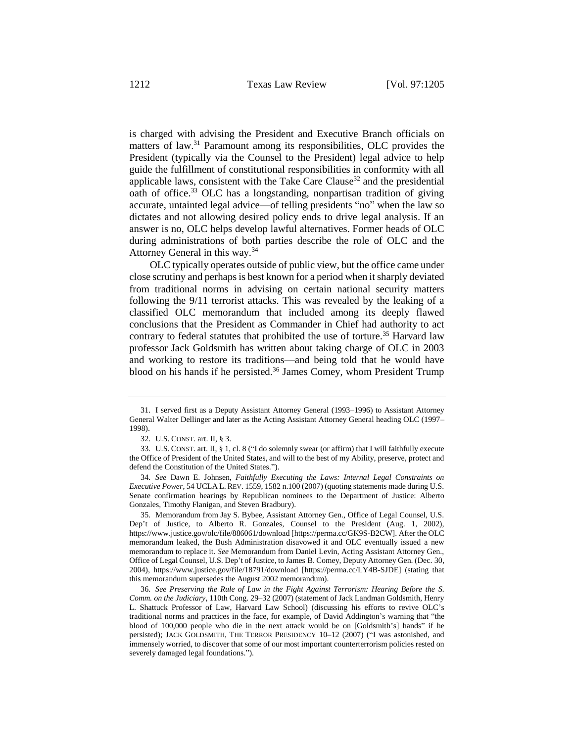is charged with advising the President and Executive Branch officials on matters of law.<sup>31</sup> Paramount among its responsibilities, OLC provides the President (typically via the Counsel to the President) legal advice to help guide the fulfillment of constitutional responsibilities in conformity with all applicable laws, consistent with the Take Care Clause<sup>32</sup> and the presidential oath of office.<sup>33</sup> OLC has a longstanding, nonpartisan tradition of giving accurate, untainted legal advice—of telling presidents "no" when the law so dictates and not allowing desired policy ends to drive legal analysis. If an answer is no, OLC helps develop lawful alternatives. Former heads of OLC during administrations of both parties describe the role of OLC and the Attorney General in this way.<sup>34</sup>

OLC typically operates outside of public view, but the office came under close scrutiny and perhaps is best known for a period when it sharply deviated from traditional norms in advising on certain national security matters following the 9/11 terrorist attacks. This was revealed by the leaking of a classified OLC memorandum that included among its deeply flawed conclusions that the President as Commander in Chief had authority to act contrary to federal statutes that prohibited the use of torture.<sup>35</sup> Harvard law professor Jack Goldsmith has written about taking charge of OLC in 2003 and working to restore its traditions—and being told that he would have blood on his hands if he persisted. $36$  James Comey, whom President Trump

35. Memorandum from Jay S. Bybee, Assistant Attorney Gen., Office of Legal Counsel, U.S. Dep't of Justice, to Alberto R. Gonzales, Counsel to the President (Aug. 1, 2002), https://www.justice.gov/olc/file/886061/download [https://perma.cc/GK9S-B2CW]. After the OLC memorandum leaked, the Bush Administration disavowed it and OLC eventually issued a new memorandum to replace it. *See* Memorandum from Daniel Levin, Acting Assistant Attorney Gen., Office of Legal Counsel, U.S. Dep't of Justice, to James B. Comey, Deputy Attorney Gen. (Dec. 30, 2004), https://www.justice.gov/file/18791/download [https://perma.cc/LY4B-SJDE] (stating that this memorandum supersedes the August 2002 memorandum).

36. *See Preserving the Rule of Law in the Fight Against Terrorism: Hearing Before the S. Comm. on the Judiciary*, 110th Cong. 29–32 (2007) (statement of Jack Landman Goldsmith, Henry L. Shattuck Professor of Law, Harvard Law School) (discussing his efforts to revive OLC's traditional norms and practices in the face, for example, of David Addington's warning that "the blood of 100,000 people who die in the next attack would be on [Goldsmith's] hands" if he persisted); JACK GOLDSMITH, THE TERROR PRESIDENCY 10–12 (2007) ("I was astonished, and immensely worried, to discover that some of our most important counterterrorism policies rested on severely damaged legal foundations.").

<sup>31.</sup> I served first as a Deputy Assistant Attorney General (1993–1996) to Assistant Attorney General Walter Dellinger and later as the Acting Assistant Attorney General heading OLC (1997– 1998).

<sup>32.</sup> U.S. CONST. art. II, § 3.

<sup>33.</sup> U.S. CONST. art. II, § 1, cl. 8 ("I do solemnly swear (or affirm) that I will faithfully execute the Office of President of the United States, and will to the best of my Ability, preserve, protect and defend the Constitution of the United States.").

<sup>34.</sup> *See* Dawn E. Johnsen, *Faithfully Executing the Laws: Internal Legal Constraints on Executive Power*, 54 UCLA L. REV. 1559, 1582 n.100 (2007) (quoting statements made during U.S. Senate confirmation hearings by Republican nominees to the Department of Justice: Alberto Gonzales, Timothy Flanigan, and Steven Bradbury).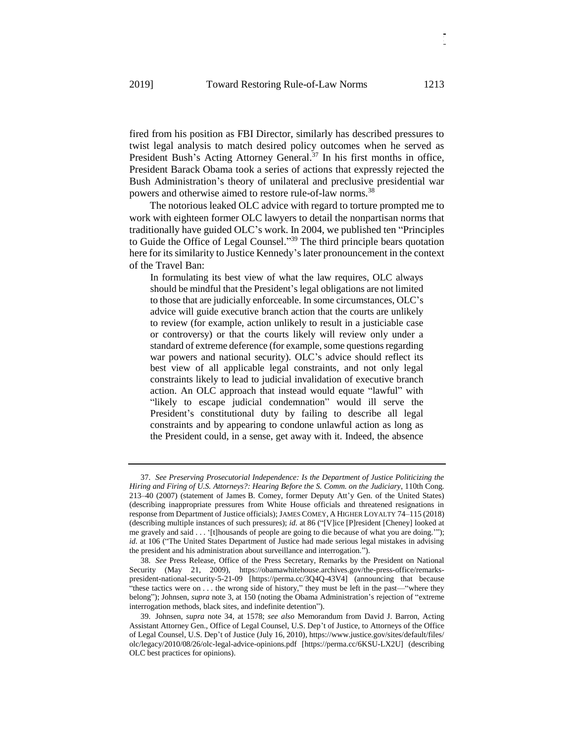fired from his position as FBI Director, similarly has described pressures to twist legal analysis to match desired policy outcomes when he served as President Bush's Acting Attorney General.<sup>37</sup> In his first months in office, President Barack Obama took a series of actions that expressly rejected the Bush Administration's theory of unilateral and preclusive presidential war powers and otherwise aimed to restore rule-of-law norms.<sup>38</sup>

The notorious leaked OLC advice with regard to torture prompted me to work with eighteen former OLC lawyers to detail the nonpartisan norms that traditionally have guided OLC's work. In 2004, we published ten "Principles to Guide the Office of Legal Counsel." <sup>39</sup> The third principle bears quotation here for its similarity to Justice Kennedy's later pronouncement in the context of the Travel Ban:

In formulating its best view of what the law requires, OLC always should be mindful that the President's legal obligations are not limited to those that are judicially enforceable. In some circumstances, OLC's advice will guide executive branch action that the courts are unlikely to review (for example, action unlikely to result in a justiciable case or controversy) or that the courts likely will review only under a standard of extreme deference (for example, some questions regarding war powers and national security). OLC's advice should reflect its best view of all applicable legal constraints, and not only legal constraints likely to lead to judicial invalidation of executive branch action. An OLC approach that instead would equate "lawful" with "likely to escape judicial condemnation" would ill serve the President's constitutional duty by failing to describe all legal constraints and by appearing to condone unlawful action as long as the President could, in a sense, get away with it. Indeed, the absence

<sup>37.</sup> *See Preserving Prosecutorial Independence: Is the Department of Justice Politicizing the Hiring and Firing of U.S. Attorneys?: Hearing Before the S. Comm. on the Judiciary*, 110th Cong. 213–40 (2007) (statement of James B. Comey, former Deputy Att'y Gen. of the United States) (describing inappropriate pressures from White House officials and threatened resignations in response from Department of Justice officials); JAMES COMEY, A HIGHER LOYALTY 74–115 (2018) (describing multiple instances of such pressures); *id.* at 86 ("[V]ice [P]resident [Cheney] looked at me gravely and said . . . '[t]housands of people are going to die because of what you are doing.'"); *id.* at 106 ("The United States Department of Justice had made serious legal mistakes in advising the president and his administration about surveillance and interrogation.").

<sup>38.</sup> *See* Press Release, Office of the Press Secretary, Remarks by the President on National Security (May 21, 2009), https://obamawhitehouse.archives.gov/the-press-office/remarkspresident-national-security-5-21-09 [https://perma.cc/3Q4Q-43V4] (announcing that because "these tactics were on . . . the wrong side of history," they must be left in the past—"where they belong"); Johnsen, *supra* note 3, at 150 (noting the Obama Administration's rejection of "extreme interrogation methods, black sites, and indefinite detention").

<sup>39.</sup> Johnsen, *supra* note 34, at 1578; *see also* Memorandum from David J. Barron, Acting Assistant Attorney Gen., Office of Legal Counsel, U.S. Dep't of Justice, to Attorneys of the Office of Legal Counsel, U.S. Dep't of Justice (July 16, 2010), https://www.justice.gov/sites/default/files/ olc/legacy/2010/08/26/olc-legal-advice-opinions.pdf [https://perma.cc/6KSU-LX2U] (describing OLC best practices for opinions).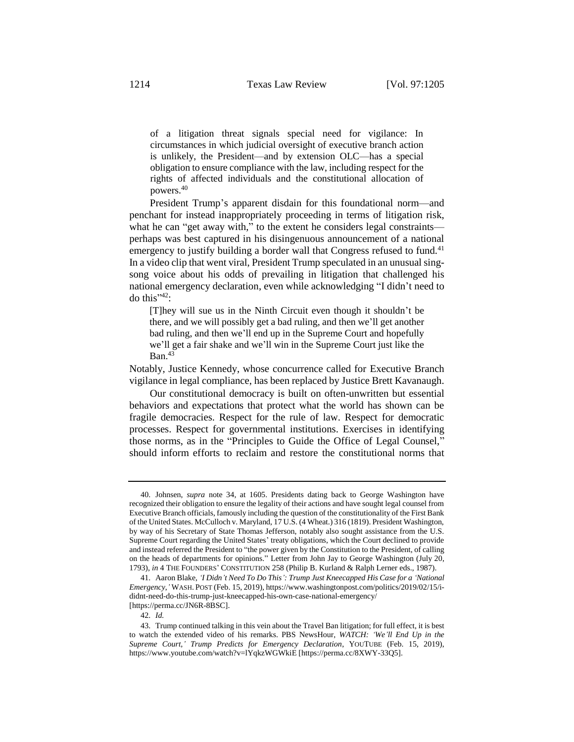of a litigation threat signals special need for vigilance: In circumstances in which judicial oversight of executive branch action is unlikely, the President—and by extension OLC—has a special obligation to ensure compliance with the law, including respect for the rights of affected individuals and the constitutional allocation of powers.<sup>40</sup>

President Trump's apparent disdain for this foundational norm—and penchant for instead inappropriately proceeding in terms of litigation risk, what he can "get away with," to the extent he considers legal constraints perhaps was best captured in his disingenuous announcement of a national emergency to justify building a border wall that Congress refused to fund.<sup>41</sup> In a video clip that went viral, President Trump speculated in an unusual singsong voice about his odds of prevailing in litigation that challenged his national emergency declaration, even while acknowledging "I didn't need to do this" $42$ :

[T]hey will sue us in the Ninth Circuit even though it shouldn't be there, and we will possibly get a bad ruling, and then we'll get another bad ruling, and then we'll end up in the Supreme Court and hopefully we'll get a fair shake and we'll win in the Supreme Court just like the  $Ban.<sup>43</sup>$ 

Notably, Justice Kennedy, whose concurrence called for Executive Branch vigilance in legal compliance, has been replaced by Justice Brett Kavanaugh.

Our constitutional democracy is built on often-unwritten but essential behaviors and expectations that protect what the world has shown can be fragile democracies. Respect for the rule of law. Respect for democratic processes. Respect for governmental institutions. Exercises in identifying those norms, as in the "Principles to Guide the Office of Legal Counsel," should inform efforts to reclaim and restore the constitutional norms that

<sup>40.</sup> Johnsen, *supra* note 34, at 1605. Presidents dating back to George Washington have recognized their obligation to ensure the legality of their actions and have sought legal counsel from Executive Branch officials, famously including the question of the constitutionality of the First Bank of the United States. McCulloch v. Maryland, 17 U.S. (4 Wheat.) 316 (1819). President Washington, by way of his Secretary of State Thomas Jefferson, notably also sought assistance from the U.S. Supreme Court regarding the United States' treaty obligations, which the Court declined to provide and instead referred the President to "the power given by the Constitution to the President, of calling on the heads of departments for opinions." Letter from John Jay to George Washington (July 20, 1793), *in* 4 THE FOUNDERS' CONSTITUTION 258 (Philip B. Kurland & Ralph Lerner eds., 1987).

<sup>41.</sup> Aaron Blake, *'I Didn't Need To Do This': Trump Just Kneecapped His Case for a 'National Emergency*,*'* WASH. POST (Feb. 15, 2019)[, https://www.washingtonpost.com/politics/2019/02/](https://www.washingtonpost.com/politics/2019/02)15/ididnt-need-do-this-trump-just-kneecapped-his-own-case-national-emergency/ [https://perma.cc/JN6R-8BSC].

<sup>42.</sup> *Id.*

<sup>43.</sup> Trump continued talking in this vein about the Travel Ban litigation; for full effect, it is best to watch the extended video of his remarks. PBS NewsHour, *WATCH: 'We'll End Up in the Supreme Court,' Trump Predicts for Emergency Declaration*, YOUTUBE (Feb. 15, 2019), https://www.youtube.com/watch?v=lYqkzWGWkiE [https://perma.cc/8XWY-33Q5].